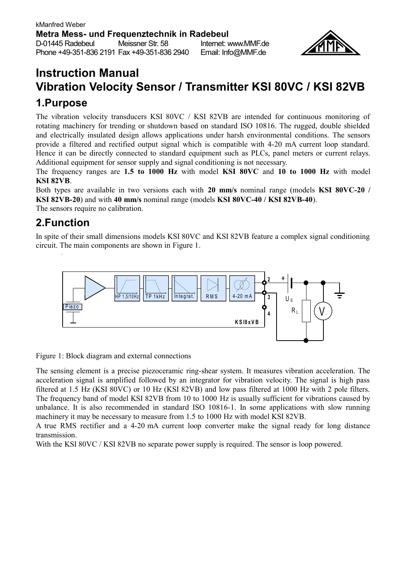

# **Instruction Manual Vibration Velocity Sensor / Transmitter KSI 80VC / KSI 82VB**

## **1.Purpose**

The vibration velocity transducers KSI 80VC / KSI 82VB are intended for continuous monitoring of rotating machinery for trending or shutdown based on standard ISO 10816. The rugged, double shielded and electrically insulated design allows applications under harsh environmental conditions. The sensors provide a filtered and rectified output signal which is compatible with 4-20 mA current loop standard. Hence it can be directly connected to standard equipment such as PLCs, panel meters or current relays. Additional equipment for sensor supply and signal conditioning is not necessary.

The frequency ranges are **1.5 to 1000 Hz** with model **KSI 80VC** and **10 to 1000 Hz** with model **KSI 82VB**.

Both types are available in two versions each with **20 mm/s** nominal range (models **KSI 80VC-20 / KSI 82VB-20**) and with **40 mm/s** nominal range (models **KSI 80VC-40 / KSI 82VB-40**). The sensors require no calibration.

### **2.Function**

In spite of their small dimensions models KSI 80VC and KSI 82VB feature a complex signal conditioning circuit. The main components are shown in [Figure 1.](#page-0-0)



<span id="page-0-0"></span>Figure 1: Block diagram and external connections

The sensing element is a precise piezoceramic ring-shear system. It measures vibration acceleration. The acceleration signal is amplified followed by an integrator for vibration velocity. The signal is high pass filtered at 1.5 Hz (KSI 80VC) or 10 Hz (KSI 82VB) and low pass filtered at 1000 Hz with 2 pole filters. The frequency band of model KSI 82VB from 10 to 1000 Hz is usually sufficient for vibrations caused by unbalance. It is also recommended in standard ISO 10816-1. In some applications with slow running machinery it may be necessary to measure from 1.5 to 1000 Hz with model KSI 82VB.

A true RMS rectifier and a 4-20 mA current loop converter make the signal ready for long distance transmission.

With the KSI 80VC / KSI 82VB no separate power supply is required. The sensor is loop powered.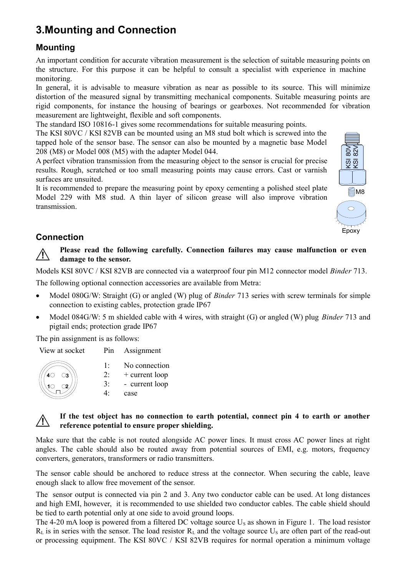# **3.Mounting and Connection**

### **Mounting**

An important condition for accurate vibration measurement is the selection of suitable measuring points on the structure. For this purpose it can be helpful to consult a specialist with experience in machine monitoring.

In general, it is advisable to measure vibration as near as possible to its source. This will minimize distortion of the measured signal by transmitting mechanical components. Suitable measuring points are rigid components, for instance the housing of bearings or gearboxes. Not recommended for vibration measurement are lightweight, flexible and soft components.

The standard ISO 10816-1 gives some recommendations for suitable measuring points.

The KSI 80VC / KSI 82VB can be mounted using an M8 stud bolt which is screwed into the tapped hole of the sensor base. The sensor can also be mounted by a magnetic base Model 208 (M8) or Model 008 (M5) with the adapter Model 044.

A perfect vibration transmission from the measuring object to the sensor is crucial for precise results. Rough, scratched or too small measuring points may cause errors. Cast or varnish surfaces are unsuited.

It is recommended to prepare the measuring point by epoxy cementing a polished steel plate Model 229 with M8 stud. A thin layer of silicon grease will also improve vibration transmission.



### **Connection**

**! Please read the following carefully. Connection failures may cause malfunction or even damage to the sensor.**

Models KSI 80VC / KSI 82VB are connected via a waterproof four pin M12 connector model *Binder* 713.

The following optional connection accessories are available from Metra:

- Model 080G/W: Straight (G) or angled (W) plug of *Binder* 713 series with screw terminals for simple connection to existing cables, protection grade IP67
- Model 084G/W: 5 m shielded cable with 4 wires, with straight (G) or angled (W) plug *Binder* 713 and pigtail ends; protection grade IP67

The pin assignment is as follows:

View at socket Pin Assignment



- 1: No connection
- 2: + current loop
- 3: - current loop
- 4: case

#### **! If the test object has no connection to earth potential, connect pin 4 to earth or another reference potential to ensure proper shielding.**

Make sure that the cable is not routed alongside AC power lines. It must cross AC power lines at right angles. The cable should also be routed away from potential sources of EMI, e.g. motors, frequency converters, generators, transformers or radio transmitters.

The sensor cable should be anchored to reduce stress at the connector. When securing the cable, leave enough slack to allow free movement of the sensor.

The sensor output is connected via pin 2 and 3. Any two conductor cable can be used. At long distances and high EMI, however, it is recommended to use shielded two conductor cables. The cable shield should be tied to earth potential only at one side to avoid ground loops.

The 4-20 mA loop is powered from a filtered DC voltage source  $U_s$  as shown in [Figure 1.](#page-0-0) The load resistor  $R_L$  is in series with the sensor. The load resistor  $R_L$  and the voltage source  $U_S$  are often part of the read-out or processing equipment. The KSI 80VC / KSI 82VB requires for normal operation a minimum voltage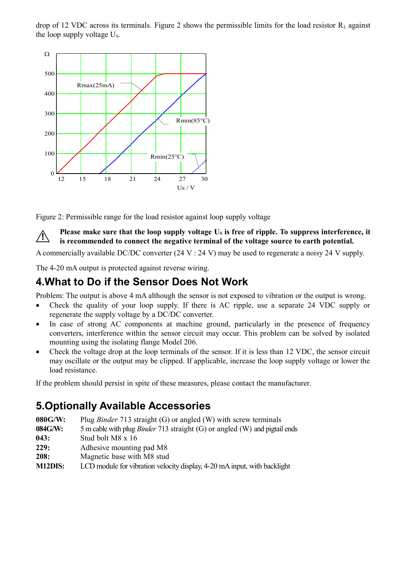drop of 12 VDC across its terminals. [Figure 2](#page-2-0) shows the permissible limits for the load resistor  $R_1$  against the loop supply voltage  $U_s$ .



<span id="page-2-0"></span>Figure 2: Permissible range for the load resistor against loop supply voltage

**! Please make sure that the loop supply voltage**  $U_s$  **is free of ripple. To suppress interference, it is recommended to connect the negative terminal of the voltage source to earth potential.** 

A commercially available DC/DC converter (24 V : 24 V) may be used to regenerate a noisy 24 V supply.

The 4-20 mA output is protected against reverse wiring.

### **4.What to Do if the Sensor Does Not Work**

Problem: The output is above 4 mA although the sensor is not exposed to vibration or the output is wrong.

- Check the quality of your loop supply. If there is AC ripple, use a separate 24 VDC supply or regenerate the supply voltage by a DC/DC converter.
- In case of strong AC components at machine ground, particularly in the presence of frequency converters, interference within the sensor circuit may occur. This problem can be solved by isolated mounting using the isolating flange Model 206.
- Check the voltage drop at the loop terminals of the sensor. If it is less than 12 VDC, the sensor circuit may oscillate or the output may be clipped. If applicable, increase the loop supply voltage or lower the load resistance.

If the problem should persist in spite of these measures, please contact the manufacturer.

## **5.Optionally Available Accessories**

- **080G/W:** Plug *Binder* 713 straight (G) or angled (W) with screw terminals
- **084G/W:** 5 m cable with plug *Binder* 713 straight (G) or angled (W) and pigtail ends
- **043:** Stud bolt M8 x 16
- **229:** Adhesive mounting pad M8
- **208:** Magnetic base with M8 stud
- **M12DIS:** LCD module for vibration velocity display, 4-20 mA input, with backlight